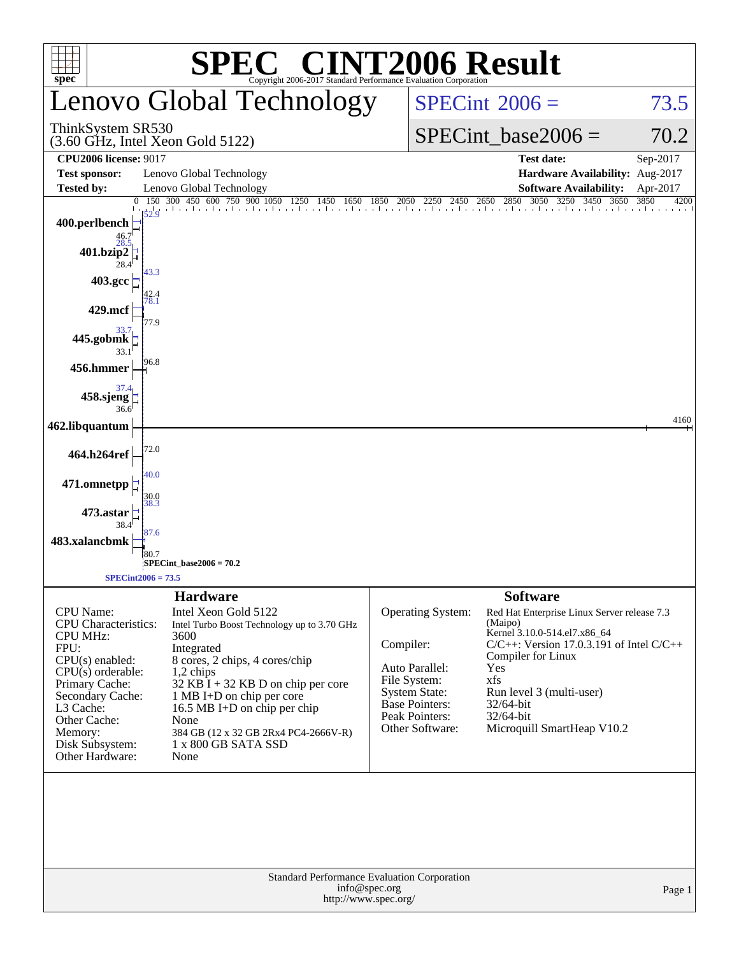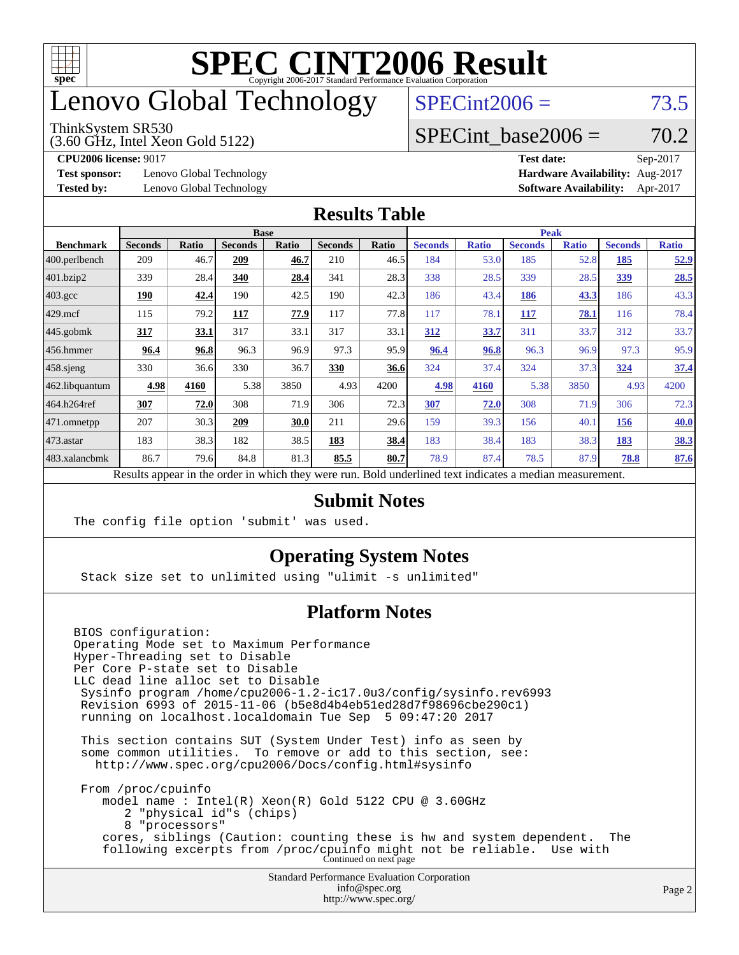

## enovo Global Technology

#### ThinkSystem SR530

(3.60 GHz, Intel Xeon Gold 5122)

 $SPECint2006 = 73.5$  $SPECint2006 = 73.5$ 

### SPECint base2006 =  $70.2$

**[Test sponsor:](http://www.spec.org/auto/cpu2006/Docs/result-fields.html#Testsponsor)** Lenovo Global Technology **[Hardware Availability:](http://www.spec.org/auto/cpu2006/Docs/result-fields.html#HardwareAvailability)** Aug-2017

**[CPU2006 license:](http://www.spec.org/auto/cpu2006/Docs/result-fields.html#CPU2006license)** 9017 **[Test date:](http://www.spec.org/auto/cpu2006/Docs/result-fields.html#Testdate)** Sep-2017 **[Tested by:](http://www.spec.org/auto/cpu2006/Docs/result-fields.html#Testedby)** Lenovo Global Technology **[Software Availability:](http://www.spec.org/auto/cpu2006/Docs/result-fields.html#SoftwareAvailability)** Apr-2017

#### **[Results Table](http://www.spec.org/auto/cpu2006/Docs/result-fields.html#ResultsTable)**

|                                                                                                          | <b>Base</b>    |       |                |              |                |       | <b>Peak</b>    |              |                |              |                |              |
|----------------------------------------------------------------------------------------------------------|----------------|-------|----------------|--------------|----------------|-------|----------------|--------------|----------------|--------------|----------------|--------------|
| <b>Benchmark</b>                                                                                         | <b>Seconds</b> | Ratio | <b>Seconds</b> | <b>Ratio</b> | <b>Seconds</b> | Ratio | <b>Seconds</b> | <b>Ratio</b> | <b>Seconds</b> | <b>Ratio</b> | <b>Seconds</b> | <b>Ratio</b> |
| 400.perlbench                                                                                            | 209            | 46.7  | 209            | 46.7         | 210            | 46.5  | 184            | 53.0         | 185            | 52.8         | 185            | <u>52.9</u>  |
| 401.bzip2                                                                                                | 339            | 28.4  | 340            | 28.4         | 341            | 28.3  | 338            | 28.5         | 339            | 28.5         | 339            | 28.5         |
| $403.\mathrm{gcc}$                                                                                       | 190            | 42.4  | 190            | 42.5         | 190            | 42.3  | 186            | 43.4         | 186            | 43.3         | 186            | 43.3         |
| $429$ mcf                                                                                                | 115            | 79.2  | 117            | 77.9         | 117            | 77.8  | 117            | 78.1         | 117            | 78.1         | 116            | 78.4         |
| $445$ .gobmk                                                                                             | 317            | 33.1  | 317            | 33.1         | 317            | 33.1  | 312            | 33.7         | 311            | 33.7         | 312            | 33.7         |
| $456.$ hmmer                                                                                             | 96.4           | 96.8  | 96.3           | 96.9         | 97.3           | 95.9  | 96.4           | 96.8         | 96.3           | 96.9         | 97.3           | 95.9         |
| $458$ .sjeng                                                                                             | 330            | 36.6  | 330            | 36.7         | 330            | 36.6  | 324            | 37.4         | 324            | 37.3         | 324            | 37.4         |
| 462.libquantum                                                                                           | 4.98           | 4160  | 5.38           | 3850         | 4.93           | 4200  | 4.98           | 4160         | 5.38           | 3850         | 4.93           | 4200         |
| 464.h264ref                                                                                              | 307            | 72.0  | 308            | 71.9         | 306            | 72.3  | 307            | 72.0         | 308            | 71.9         | 306            | 72.3         |
| $ 471$ .omnetpp                                                                                          | 207            | 30.3  | 209            | 30.0         | 211            | 29.6  | 159            | 39.3         | 156            | 40.1         | 156            | 40.0         |
| $473$ . astar                                                                                            | 183            | 38.3  | 182            | 38.5         | 183            | 38.4  | 183            | 38.4         | 183            | 38.3         | 183            | <u>38.3</u>  |
| 483.xalancbmk                                                                                            | 86.7           | 79.6  | 84.8           | 81.3         | 85.5           | 80.7  | 78.9           | 87.4         | 78.5           | 87.9         | 78.8           | 87.6         |
| Results appear in the order in which they were run. Bold underlined text indicates a median measurement. |                |       |                |              |                |       |                |              |                |              |                |              |

#### **[Submit Notes](http://www.spec.org/auto/cpu2006/Docs/result-fields.html#SubmitNotes)**

The config file option 'submit' was used.

### **[Operating System Notes](http://www.spec.org/auto/cpu2006/Docs/result-fields.html#OperatingSystemNotes)**

Stack size set to unlimited using "ulimit -s unlimited"

### **[Platform Notes](http://www.spec.org/auto/cpu2006/Docs/result-fields.html#PlatformNotes)**

Standard Performance Evaluation Corporation [info@spec.org](mailto:info@spec.org) BIOS configuration: Operating Mode set to Maximum Performance Hyper-Threading set to Disable Per Core P-state set to Disable LLC dead line alloc set to Disable Sysinfo program /home/cpu2006-1.2-ic17.0u3/config/sysinfo.rev6993 Revision 6993 of 2015-11-06 (b5e8d4b4eb51ed28d7f98696cbe290c1) running on localhost.localdomain Tue Sep 5 09:47:20 2017 This section contains SUT (System Under Test) info as seen by some common utilities. To remove or add to this section, see: <http://www.spec.org/cpu2006/Docs/config.html#sysinfo> From /proc/cpuinfo model name : Intel(R) Xeon(R) Gold 5122 CPU @ 3.60GHz 2 "physical id"s (chips) 8 "processors" cores, siblings (Caution: counting these is hw and system dependent. The following excerpts from /proc/cpuinfo might not be reliable. Use with Continued on next page

<http://www.spec.org/>

Page 2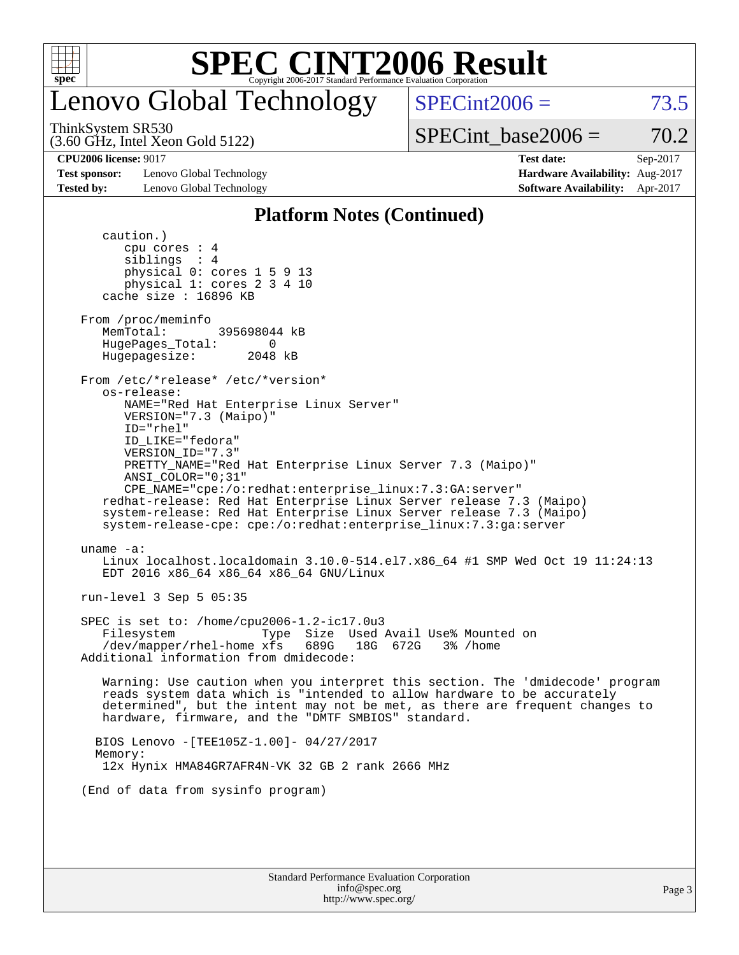

## enovo Global Technology

 $SPECint2006 = 73.5$  $SPECint2006 = 73.5$ 

(3.60 GHz, Intel Xeon Gold 5122) ThinkSystem SR530

SPECint base2006 =  $70.2$ 

**[Test sponsor:](http://www.spec.org/auto/cpu2006/Docs/result-fields.html#Testsponsor)** Lenovo Global Technology **[Hardware Availability:](http://www.spec.org/auto/cpu2006/Docs/result-fields.html#HardwareAvailability)** Aug-2017 **[Tested by:](http://www.spec.org/auto/cpu2006/Docs/result-fields.html#Testedby)** Lenovo Global Technology **[Software Availability:](http://www.spec.org/auto/cpu2006/Docs/result-fields.html#SoftwareAvailability)** Apr-2017

**[CPU2006 license:](http://www.spec.org/auto/cpu2006/Docs/result-fields.html#CPU2006license)** 9017 **[Test date:](http://www.spec.org/auto/cpu2006/Docs/result-fields.html#Testdate)** Sep-2017

#### **[Platform Notes \(Continued\)](http://www.spec.org/auto/cpu2006/Docs/result-fields.html#PlatformNotes)**

Standard Performance Evaluation Corporation caution.) cpu cores : 4 siblings : 4 physical 0: cores 1 5 9 13 physical 1: cores 2 3 4 10 cache size : 16896 KB From /proc/meminfo MemTotal: 395698044 kB HugePages\_Total: 0<br>Hugepagesize: 2048 kB Hugepagesize: From /etc/\*release\* /etc/\*version\* os-release: NAME="Red Hat Enterprise Linux Server" VERSION="7.3 (Maipo)" ID="rhel" ID\_LIKE="fedora" VERSION\_ID="7.3" PRETTY\_NAME="Red Hat Enterprise Linux Server 7.3 (Maipo)" ANSI\_COLOR="0;31" CPE\_NAME="cpe:/o:redhat:enterprise\_linux:7.3:GA:server" redhat-release: Red Hat Enterprise Linux Server release 7.3 (Maipo) system-release: Red Hat Enterprise Linux Server release 7.3 (Maipo) system-release-cpe: cpe:/o:redhat:enterprise\_linux:7.3:ga:server uname -a: Linux localhost.localdomain 3.10.0-514.el7.x86\_64 #1 SMP Wed Oct 19 11:24:13 EDT 2016 x86\_64 x86\_64 x86\_64 GNU/Linux run-level 3 Sep 5 05:35 SPEC is set to: /home/cpu2006-1.2-ic17.0u3 Filesystem Type Size Used Avail Use% Mounted on<br>
/dev/mapper/rhel-home xfs 689G 18G 672G 3% /home /dev/mapper/rhel-home xfs Additional information from dmidecode: Warning: Use caution when you interpret this section. The 'dmidecode' program reads system data which is "intended to allow hardware to be accurately determined", but the intent may not be met, as there are frequent changes to hardware, firmware, and the "DMTF SMBIOS" standard. BIOS Lenovo -[TEE105Z-1.00]- 04/27/2017 Memory: 12x Hynix HMA84GR7AFR4N-VK 32 GB 2 rank 2666 MHz (End of data from sysinfo program)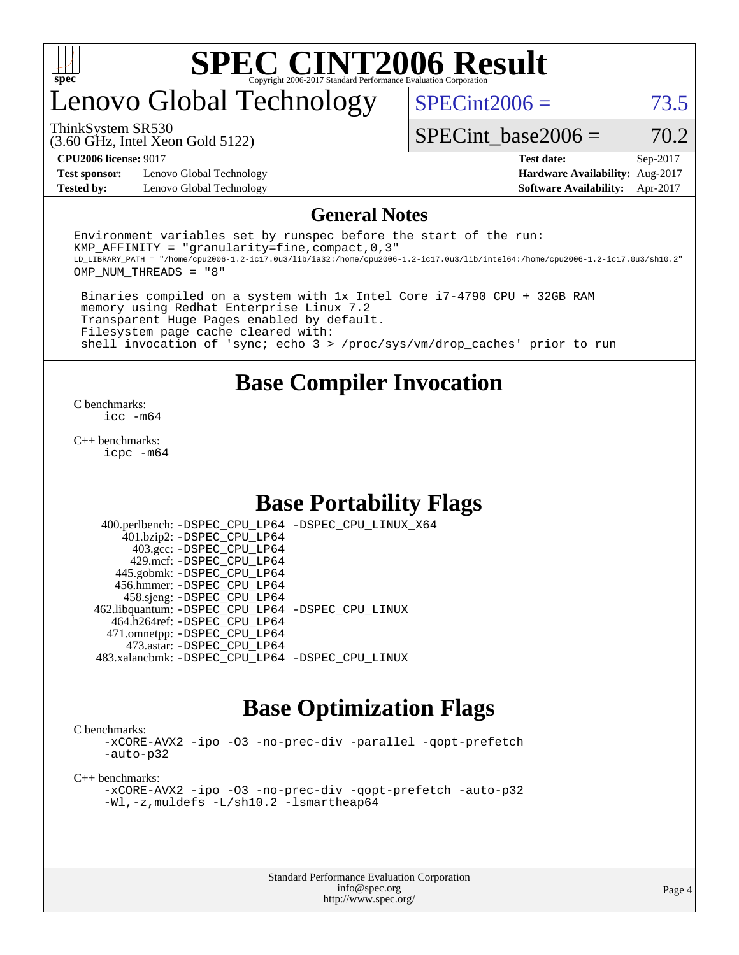

# enovo Global Technology

 $SPECint2006 = 73.5$  $SPECint2006 = 73.5$ 

(3.60 GHz, Intel Xeon Gold 5122) ThinkSystem SR530

SPECint base2006 =  $70.2$ 

**[Test sponsor:](http://www.spec.org/auto/cpu2006/Docs/result-fields.html#Testsponsor)** Lenovo Global Technology **[Hardware Availability:](http://www.spec.org/auto/cpu2006/Docs/result-fields.html#HardwareAvailability)** Aug-2017 **[Tested by:](http://www.spec.org/auto/cpu2006/Docs/result-fields.html#Testedby)** Lenovo Global Technology **[Software Availability:](http://www.spec.org/auto/cpu2006/Docs/result-fields.html#SoftwareAvailability)** Apr-2017

**[CPU2006 license:](http://www.spec.org/auto/cpu2006/Docs/result-fields.html#CPU2006license)** 9017 **[Test date:](http://www.spec.org/auto/cpu2006/Docs/result-fields.html#Testdate)** Sep-2017

#### **[General Notes](http://www.spec.org/auto/cpu2006/Docs/result-fields.html#GeneralNotes)**

Environment variables set by runspec before the start of the run: KMP AFFINITY = "granularity=fine, compact,  $0,3$ " LD\_LIBRARY\_PATH = "/home/cpu2006-1.2-ic17.0u3/lib/ia32:/home/cpu2006-1.2-ic17.0u3/lib/intel64:/home/cpu2006-1.2-ic17.0u3/sh10.2" OMP\_NUM\_THREADS = "8"

 Binaries compiled on a system with 1x Intel Core i7-4790 CPU + 32GB RAM memory using Redhat Enterprise Linux 7.2 Transparent Huge Pages enabled by default. Filesystem page cache cleared with: shell invocation of 'sync; echo 3 > /proc/sys/vm/drop\_caches' prior to run

### **[Base Compiler Invocation](http://www.spec.org/auto/cpu2006/Docs/result-fields.html#BaseCompilerInvocation)**

[C benchmarks](http://www.spec.org/auto/cpu2006/Docs/result-fields.html#Cbenchmarks): [icc -m64](http://www.spec.org/cpu2006/results/res2017q4/cpu2006-20170914-49343.flags.html#user_CCbase_intel_icc_64bit_bda6cc9af1fdbb0edc3795bac97ada53)

[C++ benchmarks:](http://www.spec.org/auto/cpu2006/Docs/result-fields.html#CXXbenchmarks) [icpc -m64](http://www.spec.org/cpu2006/results/res2017q4/cpu2006-20170914-49343.flags.html#user_CXXbase_intel_icpc_64bit_fc66a5337ce925472a5c54ad6a0de310)

### **[Base Portability Flags](http://www.spec.org/auto/cpu2006/Docs/result-fields.html#BasePortabilityFlags)**

 400.perlbench: [-DSPEC\\_CPU\\_LP64](http://www.spec.org/cpu2006/results/res2017q4/cpu2006-20170914-49343.flags.html#b400.perlbench_basePORTABILITY_DSPEC_CPU_LP64) [-DSPEC\\_CPU\\_LINUX\\_X64](http://www.spec.org/cpu2006/results/res2017q4/cpu2006-20170914-49343.flags.html#b400.perlbench_baseCPORTABILITY_DSPEC_CPU_LINUX_X64) 401.bzip2: [-DSPEC\\_CPU\\_LP64](http://www.spec.org/cpu2006/results/res2017q4/cpu2006-20170914-49343.flags.html#suite_basePORTABILITY401_bzip2_DSPEC_CPU_LP64) 403.gcc: [-DSPEC\\_CPU\\_LP64](http://www.spec.org/cpu2006/results/res2017q4/cpu2006-20170914-49343.flags.html#suite_basePORTABILITY403_gcc_DSPEC_CPU_LP64) 429.mcf: [-DSPEC\\_CPU\\_LP64](http://www.spec.org/cpu2006/results/res2017q4/cpu2006-20170914-49343.flags.html#suite_basePORTABILITY429_mcf_DSPEC_CPU_LP64) 445.gobmk: [-DSPEC\\_CPU\\_LP64](http://www.spec.org/cpu2006/results/res2017q4/cpu2006-20170914-49343.flags.html#suite_basePORTABILITY445_gobmk_DSPEC_CPU_LP64) 456.hmmer: [-DSPEC\\_CPU\\_LP64](http://www.spec.org/cpu2006/results/res2017q4/cpu2006-20170914-49343.flags.html#suite_basePORTABILITY456_hmmer_DSPEC_CPU_LP64) 458.sjeng: [-DSPEC\\_CPU\\_LP64](http://www.spec.org/cpu2006/results/res2017q4/cpu2006-20170914-49343.flags.html#suite_basePORTABILITY458_sjeng_DSPEC_CPU_LP64) 462.libquantum: [-DSPEC\\_CPU\\_LP64](http://www.spec.org/cpu2006/results/res2017q4/cpu2006-20170914-49343.flags.html#suite_basePORTABILITY462_libquantum_DSPEC_CPU_LP64) [-DSPEC\\_CPU\\_LINUX](http://www.spec.org/cpu2006/results/res2017q4/cpu2006-20170914-49343.flags.html#b462.libquantum_baseCPORTABILITY_DSPEC_CPU_LINUX) 464.h264ref: [-DSPEC\\_CPU\\_LP64](http://www.spec.org/cpu2006/results/res2017q4/cpu2006-20170914-49343.flags.html#suite_basePORTABILITY464_h264ref_DSPEC_CPU_LP64) 471.omnetpp: [-DSPEC\\_CPU\\_LP64](http://www.spec.org/cpu2006/results/res2017q4/cpu2006-20170914-49343.flags.html#suite_basePORTABILITY471_omnetpp_DSPEC_CPU_LP64) 473.astar: [-DSPEC\\_CPU\\_LP64](http://www.spec.org/cpu2006/results/res2017q4/cpu2006-20170914-49343.flags.html#suite_basePORTABILITY473_astar_DSPEC_CPU_LP64) 483.xalancbmk: [-DSPEC\\_CPU\\_LP64](http://www.spec.org/cpu2006/results/res2017q4/cpu2006-20170914-49343.flags.html#suite_basePORTABILITY483_xalancbmk_DSPEC_CPU_LP64) [-DSPEC\\_CPU\\_LINUX](http://www.spec.org/cpu2006/results/res2017q4/cpu2006-20170914-49343.flags.html#b483.xalancbmk_baseCXXPORTABILITY_DSPEC_CPU_LINUX)

### **[Base Optimization Flags](http://www.spec.org/auto/cpu2006/Docs/result-fields.html#BaseOptimizationFlags)**

[C benchmarks](http://www.spec.org/auto/cpu2006/Docs/result-fields.html#Cbenchmarks):

[-xCORE-AVX2](http://www.spec.org/cpu2006/results/res2017q4/cpu2006-20170914-49343.flags.html#user_CCbase_f-xCORE-AVX2) [-ipo](http://www.spec.org/cpu2006/results/res2017q4/cpu2006-20170914-49343.flags.html#user_CCbase_f-ipo) [-O3](http://www.spec.org/cpu2006/results/res2017q4/cpu2006-20170914-49343.flags.html#user_CCbase_f-O3) [-no-prec-div](http://www.spec.org/cpu2006/results/res2017q4/cpu2006-20170914-49343.flags.html#user_CCbase_f-no-prec-div) [-parallel](http://www.spec.org/cpu2006/results/res2017q4/cpu2006-20170914-49343.flags.html#user_CCbase_f-parallel) [-qopt-prefetch](http://www.spec.org/cpu2006/results/res2017q4/cpu2006-20170914-49343.flags.html#user_CCbase_f-qopt-prefetch) [-auto-p32](http://www.spec.org/cpu2006/results/res2017q4/cpu2006-20170914-49343.flags.html#user_CCbase_f-auto-p32)

[C++ benchmarks:](http://www.spec.org/auto/cpu2006/Docs/result-fields.html#CXXbenchmarks)

[-xCORE-AVX2](http://www.spec.org/cpu2006/results/res2017q4/cpu2006-20170914-49343.flags.html#user_CXXbase_f-xCORE-AVX2) [-ipo](http://www.spec.org/cpu2006/results/res2017q4/cpu2006-20170914-49343.flags.html#user_CXXbase_f-ipo) [-O3](http://www.spec.org/cpu2006/results/res2017q4/cpu2006-20170914-49343.flags.html#user_CXXbase_f-O3) [-no-prec-div](http://www.spec.org/cpu2006/results/res2017q4/cpu2006-20170914-49343.flags.html#user_CXXbase_f-no-prec-div) [-qopt-prefetch](http://www.spec.org/cpu2006/results/res2017q4/cpu2006-20170914-49343.flags.html#user_CXXbase_f-qopt-prefetch) [-auto-p32](http://www.spec.org/cpu2006/results/res2017q4/cpu2006-20170914-49343.flags.html#user_CXXbase_f-auto-p32) [-Wl,-z,muldefs](http://www.spec.org/cpu2006/results/res2017q4/cpu2006-20170914-49343.flags.html#user_CXXbase_link_force_multiple1_74079c344b956b9658436fd1b6dd3a8a) [-L/sh10.2 -lsmartheap64](http://www.spec.org/cpu2006/results/res2017q4/cpu2006-20170914-49343.flags.html#user_CXXbase_SmartHeap64_63911d860fc08c15fa1d5bf319b9d8d5)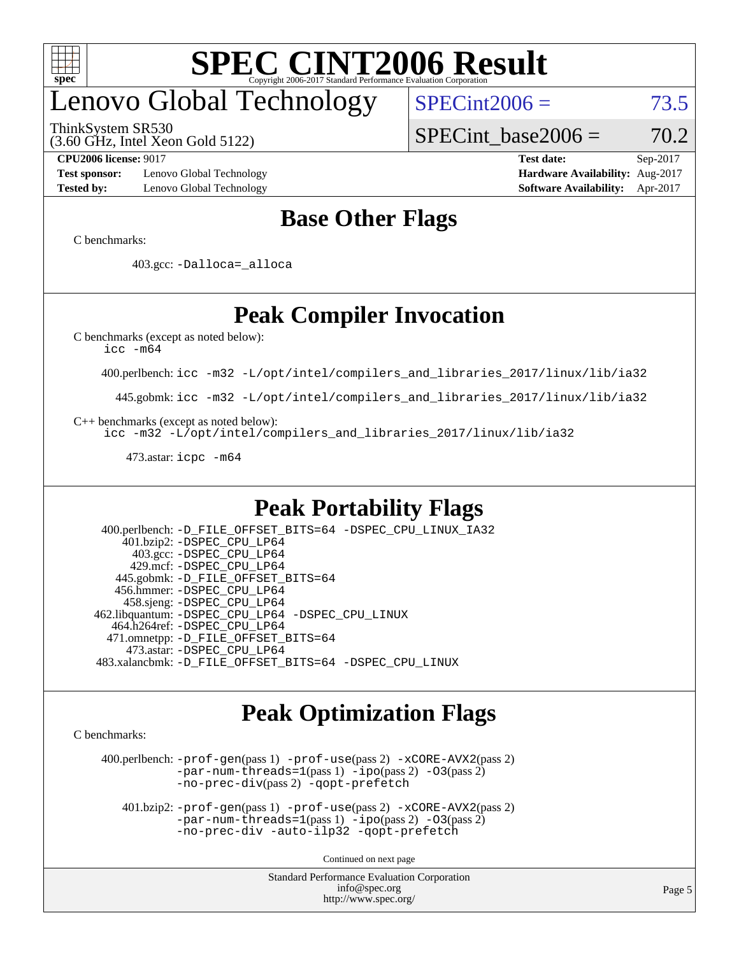

# enovo Global Technology

ThinkSystem SR530

 $SPECint2006 = 73.5$  $SPECint2006 = 73.5$ 

(3.60 GHz, Intel Xeon Gold 5122)

SPECint base2006 =  $70.2$ 

**[Test sponsor:](http://www.spec.org/auto/cpu2006/Docs/result-fields.html#Testsponsor)** Lenovo Global Technology **[Hardware Availability:](http://www.spec.org/auto/cpu2006/Docs/result-fields.html#HardwareAvailability)** Aug-2017 **[Tested by:](http://www.spec.org/auto/cpu2006/Docs/result-fields.html#Testedby)** Lenovo Global Technology **[Software Availability:](http://www.spec.org/auto/cpu2006/Docs/result-fields.html#SoftwareAvailability)** Apr-2017

**[CPU2006 license:](http://www.spec.org/auto/cpu2006/Docs/result-fields.html#CPU2006license)** 9017 **[Test date:](http://www.spec.org/auto/cpu2006/Docs/result-fields.html#Testdate)** Sep-2017

### **[Base Other Flags](http://www.spec.org/auto/cpu2006/Docs/result-fields.html#BaseOtherFlags)**

[C benchmarks](http://www.spec.org/auto/cpu2006/Docs/result-fields.html#Cbenchmarks):

403.gcc: [-Dalloca=\\_alloca](http://www.spec.org/cpu2006/results/res2017q4/cpu2006-20170914-49343.flags.html#b403.gcc_baseEXTRA_CFLAGS_Dalloca_be3056838c12de2578596ca5467af7f3)

### **[Peak Compiler Invocation](http://www.spec.org/auto/cpu2006/Docs/result-fields.html#PeakCompilerInvocation)**

[C benchmarks \(except as noted below\)](http://www.spec.org/auto/cpu2006/Docs/result-fields.html#Cbenchmarksexceptasnotedbelow):

[icc -m64](http://www.spec.org/cpu2006/results/res2017q4/cpu2006-20170914-49343.flags.html#user_CCpeak_intel_icc_64bit_bda6cc9af1fdbb0edc3795bac97ada53)

400.perlbench: [icc -m32 -L/opt/intel/compilers\\_and\\_libraries\\_2017/linux/lib/ia32](http://www.spec.org/cpu2006/results/res2017q4/cpu2006-20170914-49343.flags.html#user_peakCCLD400_perlbench_intel_icc_c29f3ff5a7ed067b11e4ec10a03f03ae)

445.gobmk: [icc -m32 -L/opt/intel/compilers\\_and\\_libraries\\_2017/linux/lib/ia32](http://www.spec.org/cpu2006/results/res2017q4/cpu2006-20170914-49343.flags.html#user_peakCCLD445_gobmk_intel_icc_c29f3ff5a7ed067b11e4ec10a03f03ae)

[C++ benchmarks \(except as noted below\):](http://www.spec.org/auto/cpu2006/Docs/result-fields.html#CXXbenchmarksexceptasnotedbelow)

[icc -m32 -L/opt/intel/compilers\\_and\\_libraries\\_2017/linux/lib/ia32](http://www.spec.org/cpu2006/results/res2017q4/cpu2006-20170914-49343.flags.html#user_CXXpeak_intel_icc_c29f3ff5a7ed067b11e4ec10a03f03ae)

473.astar: [icpc -m64](http://www.spec.org/cpu2006/results/res2017q4/cpu2006-20170914-49343.flags.html#user_peakCXXLD473_astar_intel_icpc_64bit_fc66a5337ce925472a5c54ad6a0de310)

### **[Peak Portability Flags](http://www.spec.org/auto/cpu2006/Docs/result-fields.html#PeakPortabilityFlags)**

 400.perlbench: [-D\\_FILE\\_OFFSET\\_BITS=64](http://www.spec.org/cpu2006/results/res2017q4/cpu2006-20170914-49343.flags.html#user_peakPORTABILITY400_perlbench_file_offset_bits_64_438cf9856305ebd76870a2c6dc2689ab) [-DSPEC\\_CPU\\_LINUX\\_IA32](http://www.spec.org/cpu2006/results/res2017q4/cpu2006-20170914-49343.flags.html#b400.perlbench_peakCPORTABILITY_DSPEC_CPU_LINUX_IA32) 401.bzip2: [-DSPEC\\_CPU\\_LP64](http://www.spec.org/cpu2006/results/res2017q4/cpu2006-20170914-49343.flags.html#suite_peakPORTABILITY401_bzip2_DSPEC_CPU_LP64) 403.gcc: [-DSPEC\\_CPU\\_LP64](http://www.spec.org/cpu2006/results/res2017q4/cpu2006-20170914-49343.flags.html#suite_peakPORTABILITY403_gcc_DSPEC_CPU_LP64) 429.mcf: [-DSPEC\\_CPU\\_LP64](http://www.spec.org/cpu2006/results/res2017q4/cpu2006-20170914-49343.flags.html#suite_peakPORTABILITY429_mcf_DSPEC_CPU_LP64) 445.gobmk: [-D\\_FILE\\_OFFSET\\_BITS=64](http://www.spec.org/cpu2006/results/res2017q4/cpu2006-20170914-49343.flags.html#user_peakPORTABILITY445_gobmk_file_offset_bits_64_438cf9856305ebd76870a2c6dc2689ab) 456.hmmer: [-DSPEC\\_CPU\\_LP64](http://www.spec.org/cpu2006/results/res2017q4/cpu2006-20170914-49343.flags.html#suite_peakPORTABILITY456_hmmer_DSPEC_CPU_LP64) 458.sjeng: [-DSPEC\\_CPU\\_LP64](http://www.spec.org/cpu2006/results/res2017q4/cpu2006-20170914-49343.flags.html#suite_peakPORTABILITY458_sjeng_DSPEC_CPU_LP64) 462.libquantum: [-DSPEC\\_CPU\\_LP64](http://www.spec.org/cpu2006/results/res2017q4/cpu2006-20170914-49343.flags.html#suite_peakPORTABILITY462_libquantum_DSPEC_CPU_LP64) [-DSPEC\\_CPU\\_LINUX](http://www.spec.org/cpu2006/results/res2017q4/cpu2006-20170914-49343.flags.html#b462.libquantum_peakCPORTABILITY_DSPEC_CPU_LINUX) 464.h264ref: [-DSPEC\\_CPU\\_LP64](http://www.spec.org/cpu2006/results/res2017q4/cpu2006-20170914-49343.flags.html#suite_peakPORTABILITY464_h264ref_DSPEC_CPU_LP64) 471.omnetpp: [-D\\_FILE\\_OFFSET\\_BITS=64](http://www.spec.org/cpu2006/results/res2017q4/cpu2006-20170914-49343.flags.html#user_peakPORTABILITY471_omnetpp_file_offset_bits_64_438cf9856305ebd76870a2c6dc2689ab) 473.astar: [-DSPEC\\_CPU\\_LP64](http://www.spec.org/cpu2006/results/res2017q4/cpu2006-20170914-49343.flags.html#suite_peakPORTABILITY473_astar_DSPEC_CPU_LP64) 483.xalancbmk: [-D\\_FILE\\_OFFSET\\_BITS=64](http://www.spec.org/cpu2006/results/res2017q4/cpu2006-20170914-49343.flags.html#user_peakPORTABILITY483_xalancbmk_file_offset_bits_64_438cf9856305ebd76870a2c6dc2689ab) [-DSPEC\\_CPU\\_LINUX](http://www.spec.org/cpu2006/results/res2017q4/cpu2006-20170914-49343.flags.html#b483.xalancbmk_peakCXXPORTABILITY_DSPEC_CPU_LINUX)

### **[Peak Optimization Flags](http://www.spec.org/auto/cpu2006/Docs/result-fields.html#PeakOptimizationFlags)**

[C benchmarks](http://www.spec.org/auto/cpu2006/Docs/result-fields.html#Cbenchmarks):

 400.perlbench: [-prof-gen](http://www.spec.org/cpu2006/results/res2017q4/cpu2006-20170914-49343.flags.html#user_peakPASS1_CFLAGSPASS1_LDCFLAGS400_perlbench_prof_gen_e43856698f6ca7b7e442dfd80e94a8fc)(pass 1) [-prof-use](http://www.spec.org/cpu2006/results/res2017q4/cpu2006-20170914-49343.flags.html#user_peakPASS2_CFLAGSPASS2_LDCFLAGS400_perlbench_prof_use_bccf7792157ff70d64e32fe3e1250b55)(pass 2) [-xCORE-AVX2](http://www.spec.org/cpu2006/results/res2017q4/cpu2006-20170914-49343.flags.html#user_peakPASS2_CFLAGSPASS2_LDCFLAGS400_perlbench_f-xCORE-AVX2)(pass 2) [-par-num-threads=1](http://www.spec.org/cpu2006/results/res2017q4/cpu2006-20170914-49343.flags.html#user_peakPASS1_CFLAGSPASS1_LDCFLAGS400_perlbench_par_num_threads_786a6ff141b4e9e90432e998842df6c2)(pass 1) [-ipo](http://www.spec.org/cpu2006/results/res2017q4/cpu2006-20170914-49343.flags.html#user_peakPASS2_CFLAGSPASS2_LDCFLAGS400_perlbench_f-ipo)(pass 2) [-O3](http://www.spec.org/cpu2006/results/res2017q4/cpu2006-20170914-49343.flags.html#user_peakPASS2_CFLAGSPASS2_LDCFLAGS400_perlbench_f-O3)(pass 2) [-no-prec-div](http://www.spec.org/cpu2006/results/res2017q4/cpu2006-20170914-49343.flags.html#user_peakPASS2_CFLAGSPASS2_LDCFLAGS400_perlbench_f-no-prec-div)(pass 2) [-qopt-prefetch](http://www.spec.org/cpu2006/results/res2017q4/cpu2006-20170914-49343.flags.html#user_peakCOPTIMIZE400_perlbench_f-qopt-prefetch)

 401.bzip2: [-prof-gen](http://www.spec.org/cpu2006/results/res2017q4/cpu2006-20170914-49343.flags.html#user_peakPASS1_CFLAGSPASS1_LDCFLAGS401_bzip2_prof_gen_e43856698f6ca7b7e442dfd80e94a8fc)(pass 1) [-prof-use](http://www.spec.org/cpu2006/results/res2017q4/cpu2006-20170914-49343.flags.html#user_peakPASS2_CFLAGSPASS2_LDCFLAGS401_bzip2_prof_use_bccf7792157ff70d64e32fe3e1250b55)(pass 2) [-xCORE-AVX2](http://www.spec.org/cpu2006/results/res2017q4/cpu2006-20170914-49343.flags.html#user_peakPASS2_CFLAGSPASS2_LDCFLAGS401_bzip2_f-xCORE-AVX2)(pass 2)  $-par-num-threads=1(pass 1) -ipo(pass 2) -O3(pass 2)$  $-par-num-threads=1(pass 1) -ipo(pass 2) -O3(pass 2)$  $-par-num-threads=1(pass 1) -ipo(pass 2) -O3(pass 2)$  $-par-num-threads=1(pass 1) -ipo(pass 2) -O3(pass 2)$  $-par-num-threads=1(pass 1) -ipo(pass 2) -O3(pass 2)$  $-par-num-threads=1(pass 1) -ipo(pass 2) -O3(pass 2)$ [-no-prec-div](http://www.spec.org/cpu2006/results/res2017q4/cpu2006-20170914-49343.flags.html#user_peakCOPTIMIZEPASS2_CFLAGSPASS2_LDCFLAGS401_bzip2_f-no-prec-div) [-auto-ilp32](http://www.spec.org/cpu2006/results/res2017q4/cpu2006-20170914-49343.flags.html#user_peakCOPTIMIZE401_bzip2_f-auto-ilp32) [-qopt-prefetch](http://www.spec.org/cpu2006/results/res2017q4/cpu2006-20170914-49343.flags.html#user_peakCOPTIMIZE401_bzip2_f-qopt-prefetch)

Continued on next page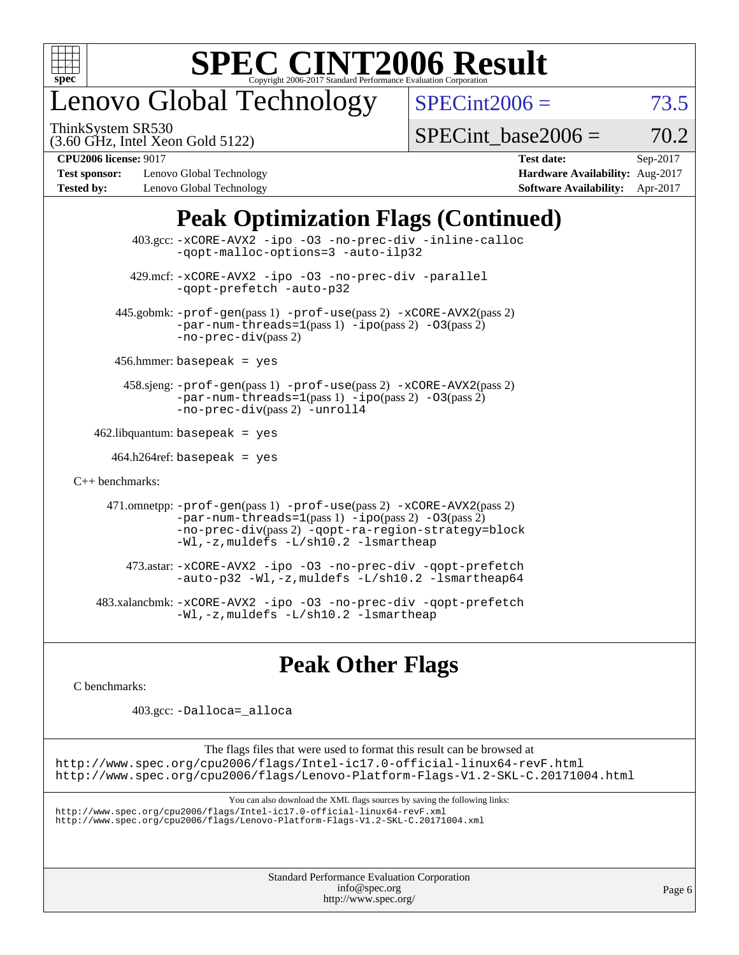

## enovo Global Technology

ThinkSystem SR530

 $SPECint2006 = 73.5$  $SPECint2006 = 73.5$ 

(3.60 GHz, Intel Xeon Gold 5122)

SPECint base2006 =  $70.2$ 

**[Test sponsor:](http://www.spec.org/auto/cpu2006/Docs/result-fields.html#Testsponsor)** Lenovo Global Technology **[Hardware Availability:](http://www.spec.org/auto/cpu2006/Docs/result-fields.html#HardwareAvailability)** Aug-2017 **[Tested by:](http://www.spec.org/auto/cpu2006/Docs/result-fields.html#Testedby)** Lenovo Global Technology **[Software Availability:](http://www.spec.org/auto/cpu2006/Docs/result-fields.html#SoftwareAvailability)** Apr-2017

**[CPU2006 license:](http://www.spec.org/auto/cpu2006/Docs/result-fields.html#CPU2006license)** 9017 **[Test date:](http://www.spec.org/auto/cpu2006/Docs/result-fields.html#Testdate)** Sep-2017

## **[Peak Optimization Flags \(Continued\)](http://www.spec.org/auto/cpu2006/Docs/result-fields.html#PeakOptimizationFlags)**

|                                        | $403.\text{sec}: -x \text{CORE-AVX2}$ -ipo -03 -no-prec-div -inline-calloc<br>-gopt-malloc-options=3 -auto-ilp32                                                                                                              |
|----------------------------------------|-------------------------------------------------------------------------------------------------------------------------------------------------------------------------------------------------------------------------------|
|                                        | 429.mcf: -xCORE-AVX2 -ipo -03 -no-prec-div -parallel<br>-gopt-prefetch -auto-p32                                                                                                                                              |
|                                        | 445.gobmk: -prof-gen(pass 1) -prof-use(pass 2) -xCORE-AVX2(pass 2)<br>$-par-num-threads=1(pass 1) -ipo(pass 2) -03(pass 2)$<br>$-no-prec-div(pass 2)$                                                                         |
| $456.$ hmmer: basepeak = yes           |                                                                                                                                                                                                                               |
|                                        | 458.sjeng: -prof-gen(pass 1) -prof-use(pass 2) -xCORE-AVX2(pass 2)<br>$-par-num-threads=1(pass 1) -ipo(pass 2) -03(pass 2)$<br>-no-prec-div(pass 2) -unroll4                                                                  |
| $462$ .libquantum: basepeak = yes      |                                                                                                                                                                                                                               |
| $464.h264 \text{ref}$ : basepeak = yes |                                                                                                                                                                                                                               |
| $C_{++}$ benchmarks:                   |                                                                                                                                                                                                                               |
|                                        | 471.omnetpp: -prof-gen(pass 1) -prof-use(pass 2) -xCORE-AVX2(pass 2)<br>$-par-num-threads=1(pass 1) -ipo(pass 2) -03(pass 2)$<br>-no-prec-div(pass 2) -qopt-ra-region-strategy=block<br>-Wl,-z, muldefs -L/sh10.2 -lsmartheap |
|                                        | 473.astar: -xCORE-AVX2 -ipo -03 -no-prec-div -qopt-prefetch<br>$-$ auto-p32 -Wl,-z, muldefs -L/sh10.2 -lsmartheap64                                                                                                           |
|                                        | 483.xalancbmk: -xCORE-AVX2 -ipo -03 -no-prec-div -qopt-prefetch<br>$-Wl$ , $-z$ , muldefs $-L/\nabla L$ , 2 $-l$ smartheap                                                                                                    |

## **[Peak Other Flags](http://www.spec.org/auto/cpu2006/Docs/result-fields.html#PeakOtherFlags)**

[C benchmarks](http://www.spec.org/auto/cpu2006/Docs/result-fields.html#Cbenchmarks):

403.gcc: [-Dalloca=\\_alloca](http://www.spec.org/cpu2006/results/res2017q4/cpu2006-20170914-49343.flags.html#b403.gcc_peakEXTRA_CFLAGS_Dalloca_be3056838c12de2578596ca5467af7f3)

The flags files that were used to format this result can be browsed at <http://www.spec.org/cpu2006/flags/Intel-ic17.0-official-linux64-revF.html> <http://www.spec.org/cpu2006/flags/Lenovo-Platform-Flags-V1.2-SKL-C.20171004.html>

You can also download the XML flags sources by saving the following links:

<http://www.spec.org/cpu2006/flags/Intel-ic17.0-official-linux64-revF.xml> <http://www.spec.org/cpu2006/flags/Lenovo-Platform-Flags-V1.2-SKL-C.20171004.xml>